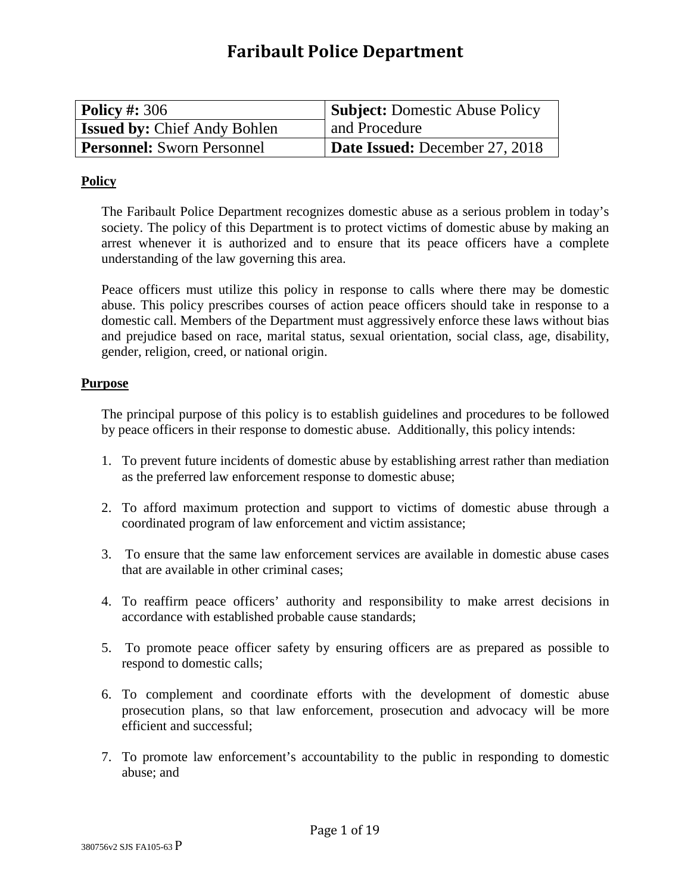# **Faribault Police Department**

| $\vert$ Policy #: 306               | <b>Subject:</b> Domestic Abuse Policy |
|-------------------------------------|---------------------------------------|
| <b>Issued by: Chief Andy Bohlen</b> | and Procedure                         |
| <b>Personnel:</b> Sworn Personnel   | <b>Date Issued:</b> December 27, 2018 |

### **Policy**

The Faribault Police Department recognizes domestic abuse as a serious problem in today's society. The policy of this Department is to protect victims of domestic abuse by making an arrest whenever it is authorized and to ensure that its peace officers have a complete understanding of the law governing this area.

Peace officers must utilize this policy in response to calls where there may be domestic abuse. This policy prescribes courses of action peace officers should take in response to a domestic call. Members of the Department must aggressively enforce these laws without bias and prejudice based on race, marital status, sexual orientation, social class, age, disability, gender, religion, creed, or national origin.

### **Purpose**

The principal purpose of this policy is to establish guidelines and procedures to be followed by peace officers in their response to domestic abuse. Additionally, this policy intends:

- 1. To prevent future incidents of domestic abuse by establishing arrest rather than mediation as the preferred law enforcement response to domestic abuse;
- 2. To afford maximum protection and support to victims of domestic abuse through a coordinated program of law enforcement and victim assistance;
- 3. To ensure that the same law enforcement services are available in domestic abuse cases that are available in other criminal cases;
- 4. To reaffirm peace officers' authority and responsibility to make arrest decisions in accordance with established probable cause standards;
- 5. To promote peace officer safety by ensuring officers are as prepared as possible to respond to domestic calls;
- 6. To complement and coordinate efforts with the development of domestic abuse prosecution plans, so that law enforcement, prosecution and advocacy will be more efficient and successful;
- 7. To promote law enforcement's accountability to the public in responding to domestic abuse; and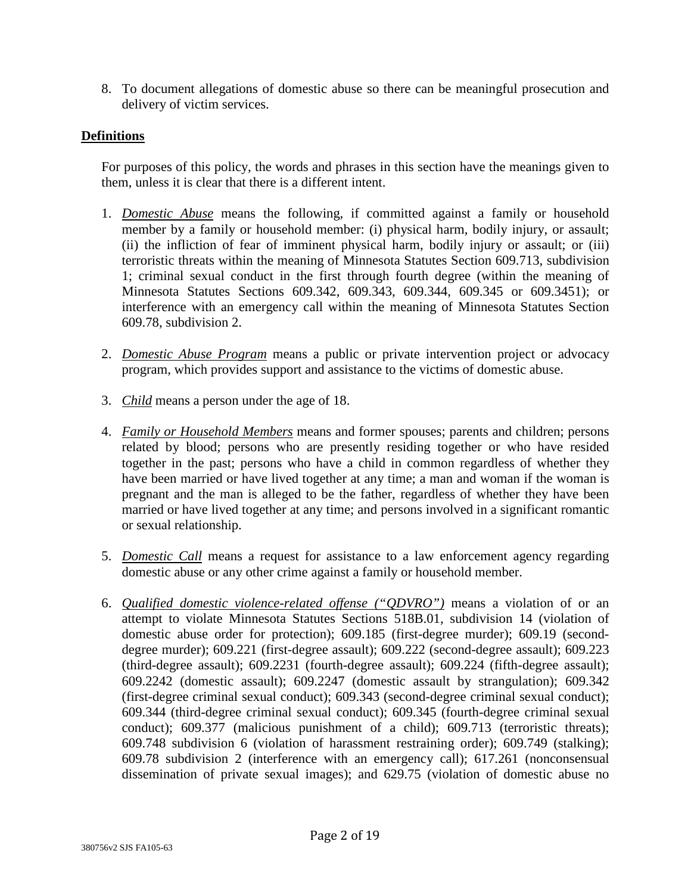8. To document allegations of domestic abuse so there can be meaningful prosecution and delivery of victim services.

### **Definitions**

For purposes of this policy, the words and phrases in this section have the meanings given to them, unless it is clear that there is a different intent.

- 1. *Domestic Abuse* means the following, if committed against a family or household member by a family or household member: (i) physical harm, bodily injury, or assault; (ii) the infliction of fear of imminent physical harm, bodily injury or assault; or (iii) terroristic threats within the meaning of Minnesota Statutes Section 609.713, subdivision 1; criminal sexual conduct in the first through fourth degree (within the meaning of Minnesota Statutes Sections 609.342, 609.343, 609.344, 609.345 or 609.3451); or interference with an emergency call within the meaning of Minnesota Statutes Section 609.78, subdivision 2.
- 2. *Domestic Abuse Program* means a public or private intervention project or advocacy program, which provides support and assistance to the victims of domestic abuse.
- 3. *Child* means a person under the age of 18.
- 4. *Family or Household Members* means and former spouses; parents and children; persons related by blood; persons who are presently residing together or who have resided together in the past; persons who have a child in common regardless of whether they have been married or have lived together at any time; a man and woman if the woman is pregnant and the man is alleged to be the father, regardless of whether they have been married or have lived together at any time; and persons involved in a significant romantic or sexual relationship.
- 5. *Domestic Call* means a request for assistance to a law enforcement agency regarding domestic abuse or any other crime against a family or household member.
- 6. *Qualified domestic violence-related offense ("QDVRO")* means a violation of or an attempt to violate Minnesota Statutes Sections 518B.01, subdivision 14 (violation of domestic abuse order for protection); 609.185 (first-degree murder); 609.19 (seconddegree murder); 609.221 (first-degree assault); 609.222 (second-degree assault); 609.223 (third-degree assault); 609.2231 (fourth-degree assault); 609.224 (fifth-degree assault); 609.2242 (domestic assault); 609.2247 (domestic assault by strangulation); 609.342 (first-degree criminal sexual conduct); 609.343 (second-degree criminal sexual conduct); 609.344 (third-degree criminal sexual conduct); 609.345 (fourth-degree criminal sexual conduct); 609.377 (malicious punishment of a child); 609.713 (terroristic threats); 609.748 subdivision 6 (violation of harassment restraining order); 609.749 (stalking); 609.78 subdivision 2 (interference with an emergency call); 617.261 (nonconsensual dissemination of private sexual images); and 629.75 (violation of domestic abuse no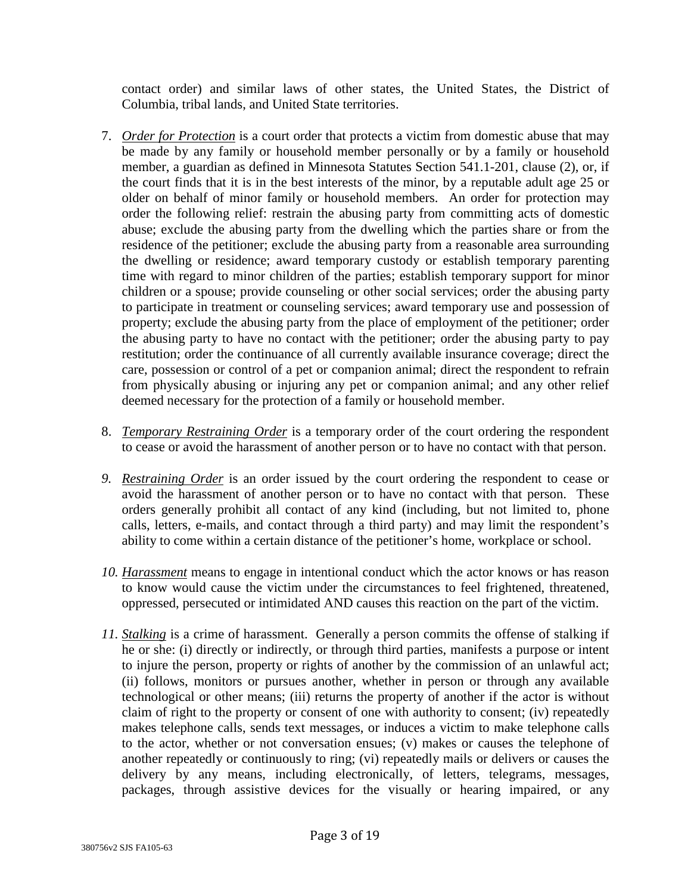contact order) and similar laws of other states, the United States, the District of Columbia, tribal lands, and United State territories.

- 7. *Order for Protection* is a court order that protects a victim from domestic abuse that may be made by any family or household member personally or by a family or household member, a guardian as defined in Minnesota Statutes Section 541.1-201, clause (2), or, if the court finds that it is in the best interests of the minor, by a reputable adult age 25 or older on behalf of minor family or household members. An order for protection may order the following relief: restrain the abusing party from committing acts of domestic abuse; exclude the abusing party from the dwelling which the parties share or from the residence of the petitioner; exclude the abusing party from a reasonable area surrounding the dwelling or residence; award temporary custody or establish temporary parenting time with regard to minor children of the parties; establish temporary support for minor children or a spouse; provide counseling or other social services; order the abusing party to participate in treatment or counseling services; award temporary use and possession of property; exclude the abusing party from the place of employment of the petitioner; order the abusing party to have no contact with the petitioner; order the abusing party to pay restitution; order the continuance of all currently available insurance coverage; direct the care, possession or control of a pet or companion animal; direct the respondent to refrain from physically abusing or injuring any pet or companion animal; and any other relief deemed necessary for the protection of a family or household member.
- 8. *Temporary Restraining Order* is a temporary order of the court ordering the respondent to cease or avoid the harassment of another person or to have no contact with that person.
- *9. Restraining Order* is an order issued by the court ordering the respondent to cease or avoid the harassment of another person or to have no contact with that person. These orders generally prohibit all contact of any kind (including, but not limited to, phone calls, letters, e-mails, and contact through a third party) and may limit the respondent's ability to come within a certain distance of the petitioner's home, workplace or school.
- *10. Harassment* means to engage in intentional conduct which the actor knows or has reason to know would cause the victim under the circumstances to feel frightened, threatened, oppressed, persecuted or intimidated AND causes this reaction on the part of the victim.
- *11. Stalking* is a crime of harassment. Generally a person commits the offense of stalking if he or she: (i) directly or indirectly, or through third parties, manifests a purpose or intent to injure the person, property or rights of another by the commission of an unlawful act; (ii) follows, monitors or pursues another, whether in person or through any available technological or other means; (iii) returns the property of another if the actor is without claim of right to the property or consent of one with authority to consent; (iv) repeatedly makes telephone calls, sends text messages, or induces a victim to make telephone calls to the actor, whether or not conversation ensues; (v) makes or causes the telephone of another repeatedly or continuously to ring; (vi) repeatedly mails or delivers or causes the delivery by any means, including electronically, of letters, telegrams, messages, packages, through assistive devices for the visually or hearing impaired, or any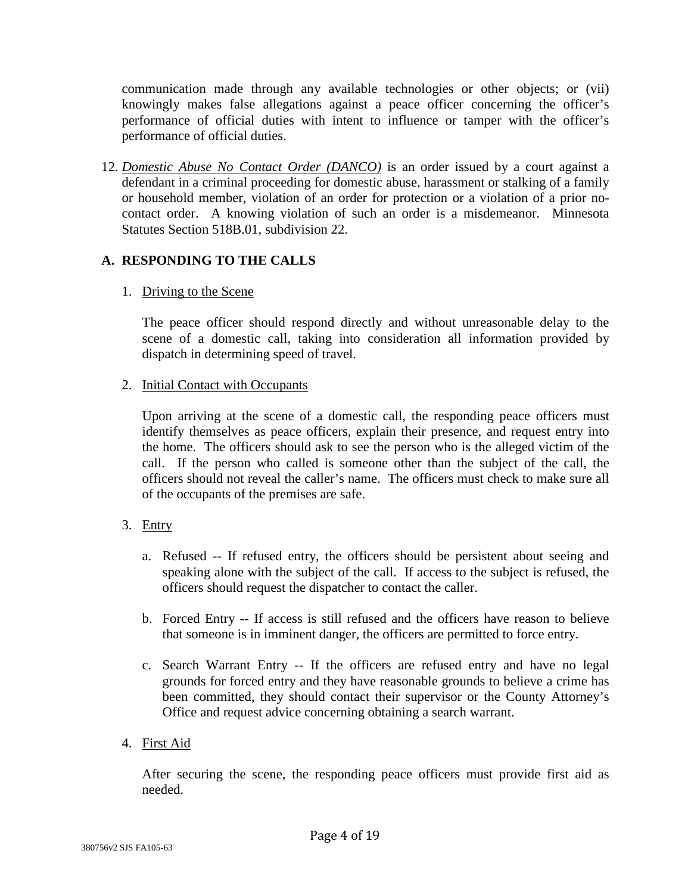communication made through any available technologies or other objects; or (vii) knowingly makes false allegations against a peace officer concerning the officer's performance of official duties with intent to influence or tamper with the officer's performance of official duties.

12. *Domestic Abuse No Contact Order (DANCO)* is an order issued by a court against a defendant in a criminal proceeding for domestic abuse, harassment or stalking of a family or household member, violation of an order for protection or a violation of a prior nocontact order. A knowing violation of such an order is a misdemeanor. Minnesota Statutes Section 518B.01, subdivision 22.

# **A. RESPONDING TO THE CALLS**

### 1. Driving to the Scene

The peace officer should respond directly and without unreasonable delay to the scene of a domestic call, taking into consideration all information provided by dispatch in determining speed of travel.

### 2. Initial Contact with Occupants

Upon arriving at the scene of a domestic call, the responding peace officers must identify themselves as peace officers, explain their presence, and request entry into the home. The officers should ask to see the person who is the alleged victim of the call. If the person who called is someone other than the subject of the call, the officers should not reveal the caller's name. The officers must check to make sure all of the occupants of the premises are safe.

# 3. Entry

- a. Refused -- If refused entry, the officers should be persistent about seeing and speaking alone with the subject of the call. If access to the subject is refused, the officers should request the dispatcher to contact the caller.
- b. Forced Entry -- If access is still refused and the officers have reason to believe that someone is in imminent danger, the officers are permitted to force entry.
- c. Search Warrant Entry -- If the officers are refused entry and have no legal grounds for forced entry and they have reasonable grounds to believe a crime has been committed, they should contact their supervisor or the County Attorney's Office and request advice concerning obtaining a search warrant.

# 4. First Aid

After securing the scene, the responding peace officers must provide first aid as needed.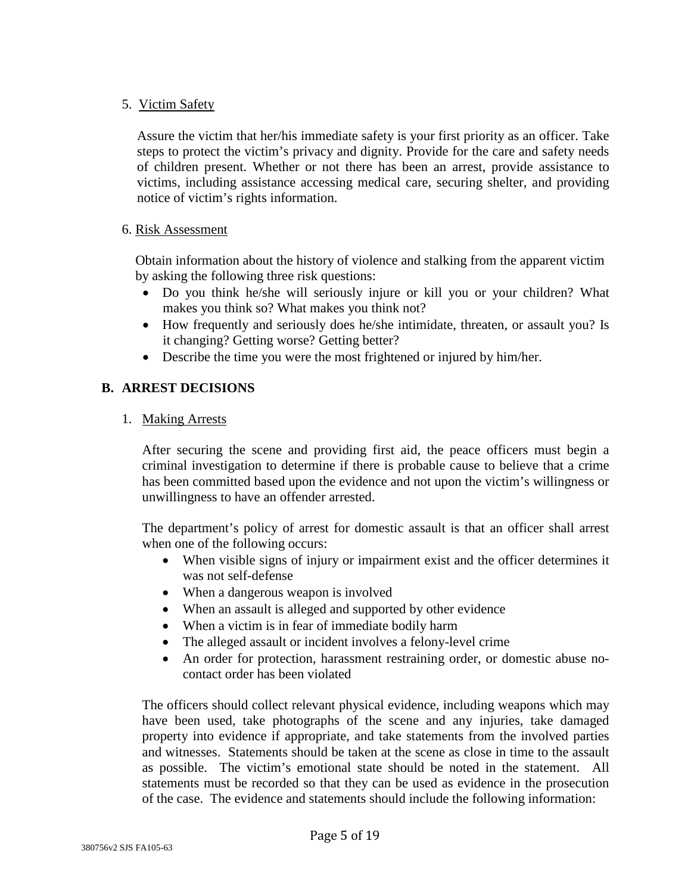### 5. Victim Safety

Assure the victim that her/his immediate safety is your first priority as an officer. Take steps to protect the victim's privacy and dignity. Provide for the care and safety needs of children present. Whether or not there has been an arrest, provide assistance to victims, including assistance accessing medical care, securing shelter, and providing notice of victim's rights information.

### 6. Risk Assessment

 Obtain information about the history of violence and stalking from the apparent victim by asking the following three risk questions:

- Do you think he/she will seriously injure or kill you or your children? What makes you think so? What makes you think not?
- How frequently and seriously does he/she intimidate, threaten, or assault you? Is it changing? Getting worse? Getting better?
- Describe the time you were the most frightened or injured by him/her.

# **B. ARREST DECISIONS**

### 1. Making Arrests

After securing the scene and providing first aid, the peace officers must begin a criminal investigation to determine if there is probable cause to believe that a crime has been committed based upon the evidence and not upon the victim's willingness or unwillingness to have an offender arrested.

The department's policy of arrest for domestic assault is that an officer shall arrest when one of the following occurs:

- When visible signs of injury or impairment exist and the officer determines it was not self-defense
- When a dangerous weapon is involved
- When an assault is alleged and supported by other evidence
- When a victim is in fear of immediate bodily harm
- The alleged assault or incident involves a felony-level crime
- An order for protection, harassment restraining order, or domestic abuse nocontact order has been violated

The officers should collect relevant physical evidence, including weapons which may have been used, take photographs of the scene and any injuries, take damaged property into evidence if appropriate, and take statements from the involved parties and witnesses. Statements should be taken at the scene as close in time to the assault as possible. The victim's emotional state should be noted in the statement. All statements must be recorded so that they can be used as evidence in the prosecution of the case. The evidence and statements should include the following information: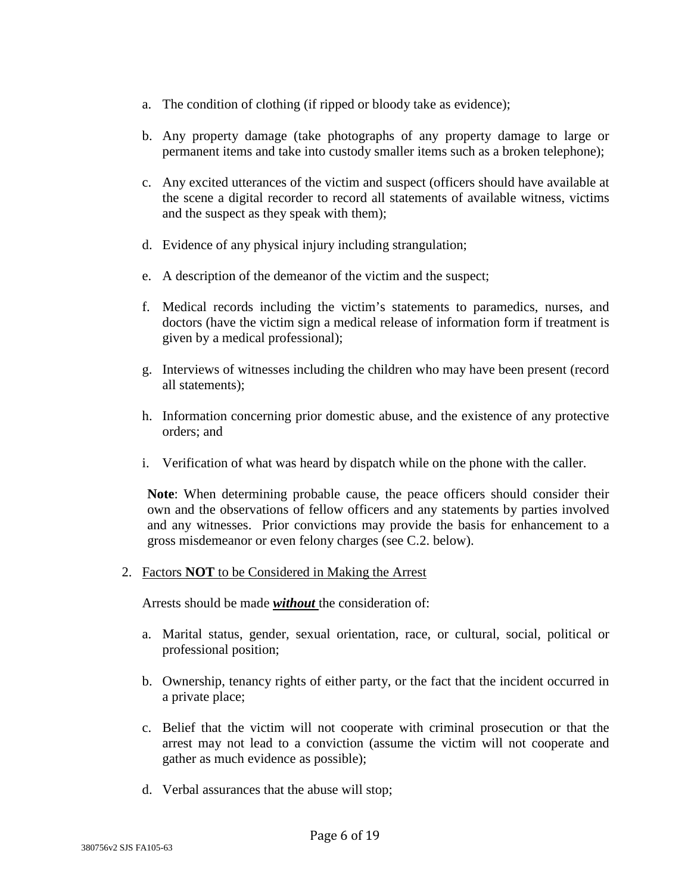- a. The condition of clothing (if ripped or bloody take as evidence);
- b. Any property damage (take photographs of any property damage to large or permanent items and take into custody smaller items such as a broken telephone);
- c. Any excited utterances of the victim and suspect (officers should have available at the scene a digital recorder to record all statements of available witness, victims and the suspect as they speak with them);
- d. Evidence of any physical injury including strangulation;
- e. A description of the demeanor of the victim and the suspect;
- f. Medical records including the victim's statements to paramedics, nurses, and doctors (have the victim sign a medical release of information form if treatment is given by a medical professional);
- g. Interviews of witnesses including the children who may have been present (record all statements);
- h. Information concerning prior domestic abuse, and the existence of any protective orders; and
- i. Verification of what was heard by dispatch while on the phone with the caller.

**Note**: When determining probable cause, the peace officers should consider their own and the observations of fellow officers and any statements by parties involved and any witnesses. Prior convictions may provide the basis for enhancement to a gross misdemeanor or even felony charges (see C.2. below).

### 2. Factors **NOT** to be Considered in Making the Arrest

Arrests should be made *without* the consideration of:

- a. Marital status, gender, sexual orientation, race, or cultural, social, political or professional position;
- b. Ownership, tenancy rights of either party, or the fact that the incident occurred in a private place;
- c. Belief that the victim will not cooperate with criminal prosecution or that the arrest may not lead to a conviction (assume the victim will not cooperate and gather as much evidence as possible);
- d. Verbal assurances that the abuse will stop;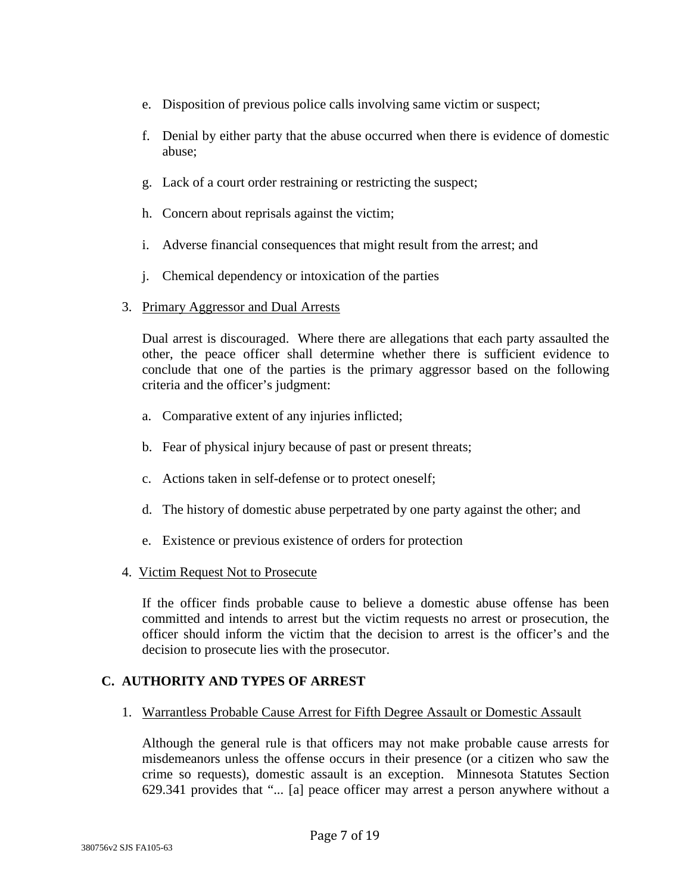- e. Disposition of previous police calls involving same victim or suspect;
- f. Denial by either party that the abuse occurred when there is evidence of domestic abuse;
- g. Lack of a court order restraining or restricting the suspect;
- h. Concern about reprisals against the victim;
- i. Adverse financial consequences that might result from the arrest; and
- j. Chemical dependency or intoxication of the parties

### 3. Primary Aggressor and Dual Arrests

Dual arrest is discouraged. Where there are allegations that each party assaulted the other, the peace officer shall determine whether there is sufficient evidence to conclude that one of the parties is the primary aggressor based on the following criteria and the officer's judgment:

- a. Comparative extent of any injuries inflicted;
- b. Fear of physical injury because of past or present threats;
- c. Actions taken in self-defense or to protect oneself;
- d. The history of domestic abuse perpetrated by one party against the other; and
- e. Existence or previous existence of orders for protection
- 4. Victim Request Not to Prosecute

If the officer finds probable cause to believe a domestic abuse offense has been committed and intends to arrest but the victim requests no arrest or prosecution, the officer should inform the victim that the decision to arrest is the officer's and the decision to prosecute lies with the prosecutor.

### **C. AUTHORITY AND TYPES OF ARREST**

1. Warrantless Probable Cause Arrest for Fifth Degree Assault or Domestic Assault

Although the general rule is that officers may not make probable cause arrests for misdemeanors unless the offense occurs in their presence (or a citizen who saw the crime so requests), domestic assault is an exception. Minnesota Statutes Section 629.341 provides that "... [a] peace officer may arrest a person anywhere without a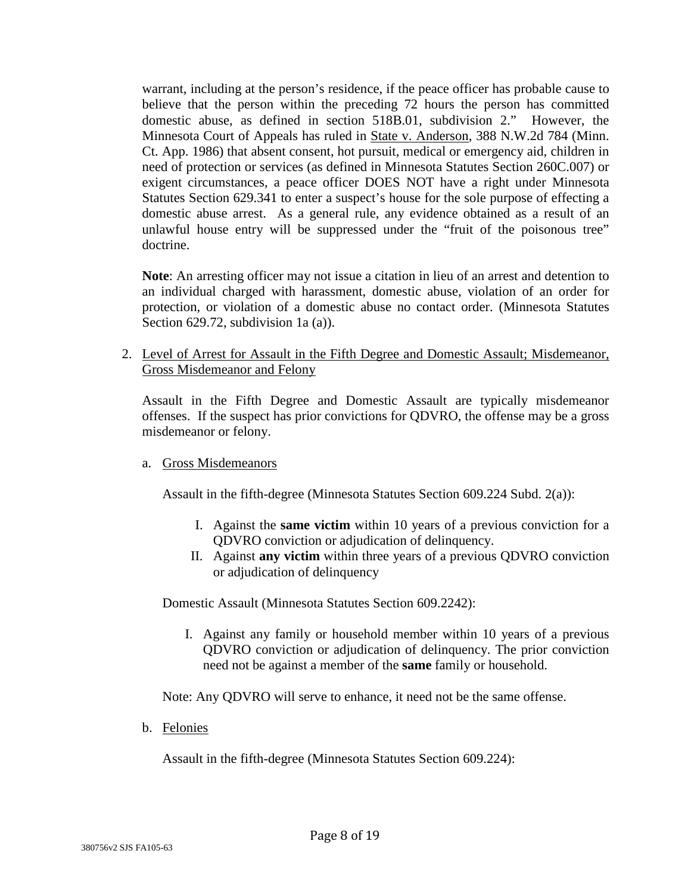warrant, including at the person's residence, if the peace officer has probable cause to believe that the person within the preceding 72 hours the person has committed domestic abuse, as defined in section 518B.01, subdivision 2." However, the Minnesota Court of Appeals has ruled in State v. Anderson, 388 N.W.2d 784 (Minn. Ct. App. 1986) that absent consent, hot pursuit, medical or emergency aid, children in need of protection or services (as defined in Minnesota Statutes Section 260C.007) or exigent circumstances, a peace officer DOES NOT have a right under Minnesota Statutes Section 629.341 to enter a suspect's house for the sole purpose of effecting a domestic abuse arrest. As a general rule, any evidence obtained as a result of an unlawful house entry will be suppressed under the "fruit of the poisonous tree" doctrine.

**Note**: An arresting officer may not issue a citation in lieu of an arrest and detention to an individual charged with harassment, domestic abuse, violation of an order for protection, or violation of a domestic abuse no contact order. (Minnesota Statutes Section 629.72, subdivision 1a (a)).

2. Level of Arrest for Assault in the Fifth Degree and Domestic Assault; Misdemeanor, Gross Misdemeanor and Felony

Assault in the Fifth Degree and Domestic Assault are typically misdemeanor offenses. If the suspect has prior convictions for QDVRO, the offense may be a gross misdemeanor or felony.

### a. Gross Misdemeanors

Assault in the fifth-degree (Minnesota Statutes Section 609.224 Subd. 2(a)):

- I. Against the **same victim** within 10 years of a previous conviction for a QDVRO conviction or adjudication of delinquency.
- II. Against **any victim** within three years of a previous QDVRO conviction or adjudication of delinquency

Domestic Assault (Minnesota Statutes Section 609.2242):

I. Against any family or household member within 10 years of a previous QDVRO conviction or adjudication of delinquency. The prior conviction need not be against a member of the **same** family or household.

Note: Any QDVRO will serve to enhance, it need not be the same offense.

b. Felonies

Assault in the fifth-degree (Minnesota Statutes Section 609.224):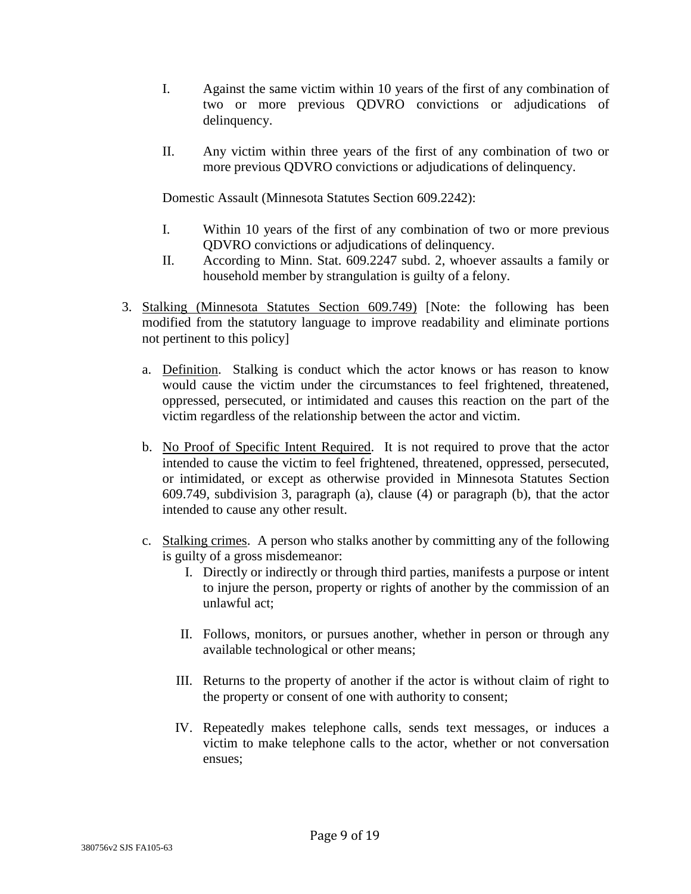- I. Against the same victim within 10 years of the first of any combination of two or more previous QDVRO convictions or adjudications of delinquency.
- II. Any victim within three years of the first of any combination of two or more previous QDVRO convictions or adjudications of delinquency.

Domestic Assault (Minnesota Statutes Section 609.2242):

- I. Within 10 years of the first of any combination of two or more previous QDVRO convictions or adjudications of delinquency.
- II. According to Minn. Stat. 609.2247 subd. 2, whoever assaults a family or household member by strangulation is guilty of a felony.
- 3. Stalking (Minnesota Statutes Section 609.749) [Note: the following has been modified from the statutory language to improve readability and eliminate portions not pertinent to this policy]
	- a. Definition. Stalking is conduct which the actor knows or has reason to know would cause the victim under the circumstances to feel frightened, threatened, oppressed, persecuted, or intimidated and causes this reaction on the part of the victim regardless of the relationship between the actor and victim.
	- b. No Proof of Specific Intent Required. It is not required to prove that the actor intended to cause the victim to feel frightened, threatened, oppressed, persecuted, or intimidated, or except as otherwise provided in Minnesota Statutes Section 609.749, subdivision 3, paragraph (a), clause (4) or paragraph (b), that the actor intended to cause any other result.
	- c. Stalking crimes. A person who stalks another by committing any of the following is guilty of a gross misdemeanor:
		- I. Directly or indirectly or through third parties, manifests a purpose or intent to injure the person, property or rights of another by the commission of an unlawful act;
		- II. Follows, monitors, or pursues another, whether in person or through any available technological or other means;
		- III. Returns to the property of another if the actor is without claim of right to the property or consent of one with authority to consent;
		- IV. Repeatedly makes telephone calls, sends text messages, or induces a victim to make telephone calls to the actor, whether or not conversation ensues;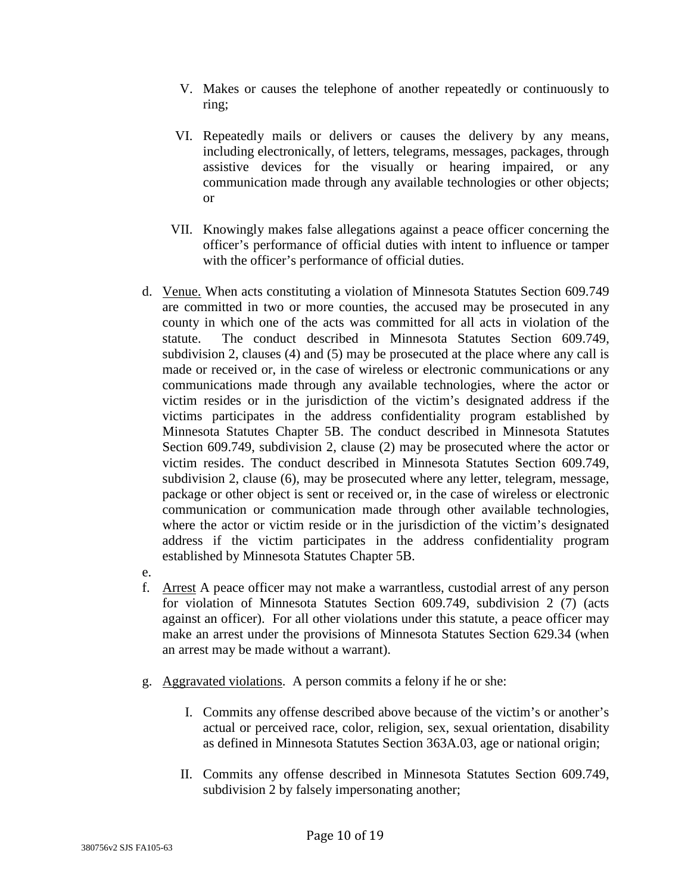- V. Makes or causes the telephone of another repeatedly or continuously to ring;
- VI. Repeatedly mails or delivers or causes the delivery by any means, including electronically, of letters, telegrams, messages, packages, through assistive devices for the visually or hearing impaired, or any communication made through any available technologies or other objects; or
- VII. Knowingly makes false allegations against a peace officer concerning the officer's performance of official duties with intent to influence or tamper with the officer's performance of official duties.
- d. Venue. When acts constituting a violation of Minnesota Statutes Section 609.749 are committed in two or more counties, the accused may be prosecuted in any county in which one of the acts was committed for all acts in violation of the statute. The conduct described in Minnesota Statutes Section 609.749, subdivision 2, clauses (4) and (5) may be prosecuted at the place where any call is made or received or, in the case of wireless or electronic communications or any communications made through any available technologies, where the actor or victim resides or in the jurisdiction of the victim's designated address if the victims participates in the address confidentiality program established by Minnesota Statutes Chapter 5B. The conduct described in Minnesota Statutes Section 609.749, subdivision 2, clause (2) may be prosecuted where the actor or victim resides. The conduct described in Minnesota Statutes Section 609.749, subdivision 2, clause (6), may be prosecuted where any letter, telegram, message, package or other object is sent or received or, in the case of wireless or electronic communication or communication made through other available technologies, where the actor or victim reside or in the jurisdiction of the victim's designated address if the victim participates in the address confidentiality program established by Minnesota Statutes Chapter 5B.
- e.
- f. Arrest A peace officer may not make a warrantless, custodial arrest of any person for violation of Minnesota Statutes Section 609.749, subdivision 2 (7) (acts against an officer). For all other violations under this statute, a peace officer may make an arrest under the provisions of Minnesota Statutes Section 629.34 (when an arrest may be made without a warrant).
- g. Aggravated violations. A person commits a felony if he or she:
	- I. Commits any offense described above because of the victim's or another's actual or perceived race, color, religion, sex, sexual orientation, disability as defined in Minnesota Statutes Section 363A.03, age or national origin;
	- II. Commits any offense described in Minnesota Statutes Section 609.749, subdivision 2 by falsely impersonating another;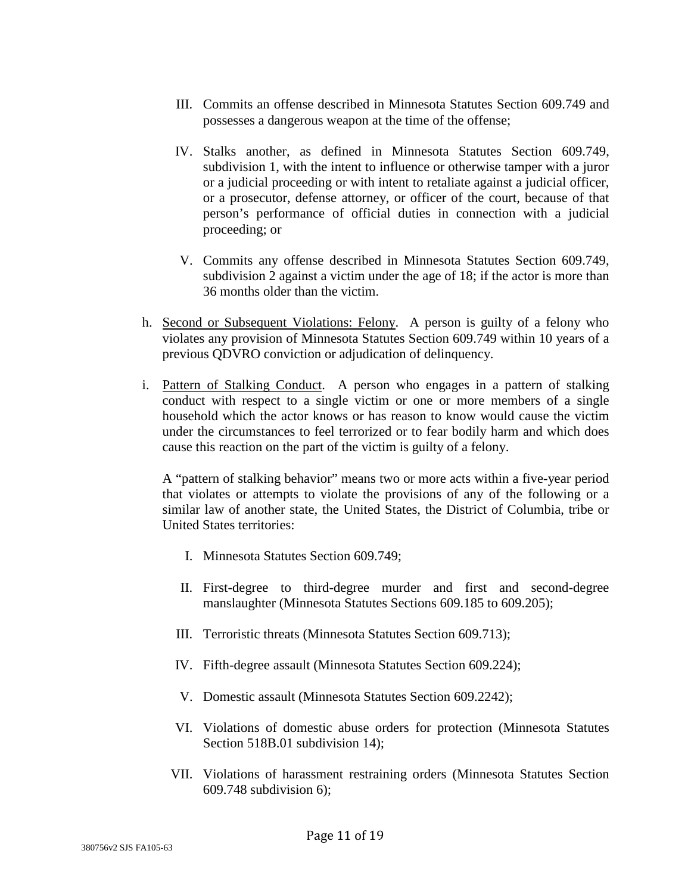- III. Commits an offense described in Minnesota Statutes Section 609.749 and possesses a dangerous weapon at the time of the offense;
- IV. Stalks another, as defined in Minnesota Statutes Section 609.749, subdivision 1, with the intent to influence or otherwise tamper with a juror or a judicial proceeding or with intent to retaliate against a judicial officer, or a prosecutor, defense attorney, or officer of the court, because of that person's performance of official duties in connection with a judicial proceeding; or
- V. Commits any offense described in Minnesota Statutes Section 609.749, subdivision 2 against a victim under the age of 18; if the actor is more than 36 months older than the victim.
- h. Second or Subsequent Violations: Felony. A person is guilty of a felony who violates any provision of Minnesota Statutes Section 609.749 within 10 years of a previous QDVRO conviction or adjudication of delinquency.
- i. Pattern of Stalking Conduct. A person who engages in a pattern of stalking conduct with respect to a single victim or one or more members of a single household which the actor knows or has reason to know would cause the victim under the circumstances to feel terrorized or to fear bodily harm and which does cause this reaction on the part of the victim is guilty of a felony.

A "pattern of stalking behavior" means two or more acts within a five-year period that violates or attempts to violate the provisions of any of the following or a similar law of another state, the United States, the District of Columbia, tribe or United States territories:

- I. Minnesota Statutes Section 609.749;
- II. First-degree to third-degree murder and first and second-degree manslaughter (Minnesota Statutes Sections 609.185 to 609.205);
- III. Terroristic threats (Minnesota Statutes Section 609.713);
- IV. Fifth-degree assault (Minnesota Statutes Section 609.224);
- V. Domestic assault (Minnesota Statutes Section 609.2242);
- VI. Violations of domestic abuse orders for protection (Minnesota Statutes Section 518B.01 subdivision 14);
- VII. Violations of harassment restraining orders (Minnesota Statutes Section 609.748 subdivision 6);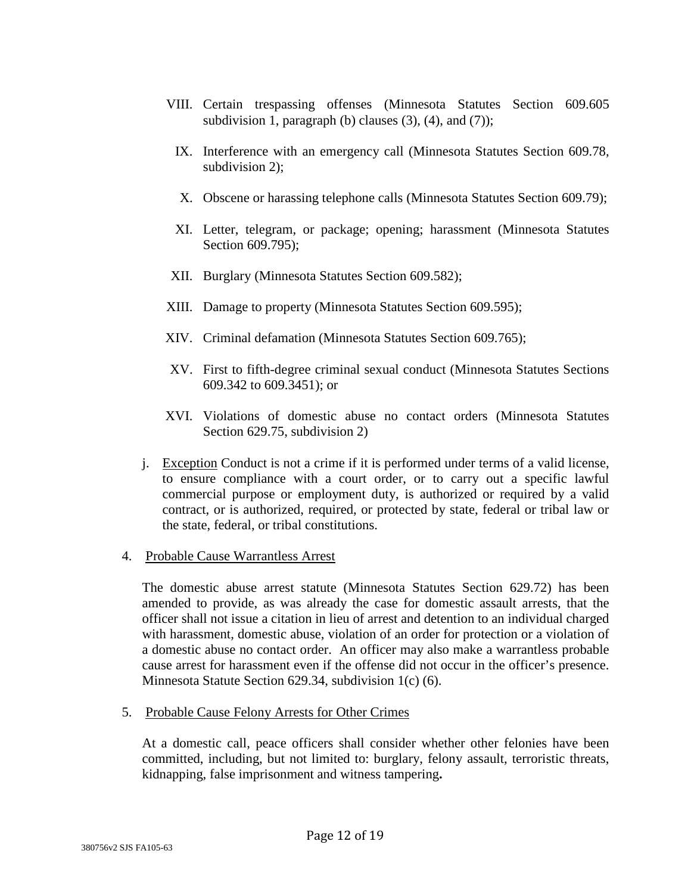- VIII. Certain trespassing offenses (Minnesota Statutes Section 609.605 subdivision 1, paragraph (b) clauses  $(3)$ ,  $(4)$ , and  $(7)$ );
	- IX. Interference with an emergency call (Minnesota Statutes Section 609.78, subdivision 2);
	- X. Obscene or harassing telephone calls (Minnesota Statutes Section 609.79);
	- XI. Letter, telegram, or package; opening; harassment (Minnesota Statutes Section 609.795):
- XII. Burglary (Minnesota Statutes Section 609.582);
- XIII. Damage to property (Minnesota Statutes Section 609.595);
- XIV. Criminal defamation (Minnesota Statutes Section 609.765);
- XV. First to fifth-degree criminal sexual conduct (Minnesota Statutes Sections 609.342 to 609.3451); or
- XVI. Violations of domestic abuse no contact orders (Minnesota Statutes Section 629.75, subdivision 2)
- j. Exception Conduct is not a crime if it is performed under terms of a valid license, to ensure compliance with a court order, or to carry out a specific lawful commercial purpose or employment duty, is authorized or required by a valid contract, or is authorized, required, or protected by state, federal or tribal law or the state, federal, or tribal constitutions.

#### 4. Probable Cause Warrantless Arrest

The domestic abuse arrest statute (Minnesota Statutes Section 629.72) has been amended to provide, as was already the case for domestic assault arrests, that the officer shall not issue a citation in lieu of arrest and detention to an individual charged with harassment, domestic abuse, violation of an order for protection or a violation of a domestic abuse no contact order. An officer may also make a warrantless probable cause arrest for harassment even if the offense did not occur in the officer's presence. Minnesota Statute Section 629.34, subdivision 1(c) (6).

5. Probable Cause Felony Arrests for Other Crimes

At a domestic call, peace officers shall consider whether other felonies have been committed, including, but not limited to: burglary, felony assault, terroristic threats, kidnapping, false imprisonment and witness tampering**.**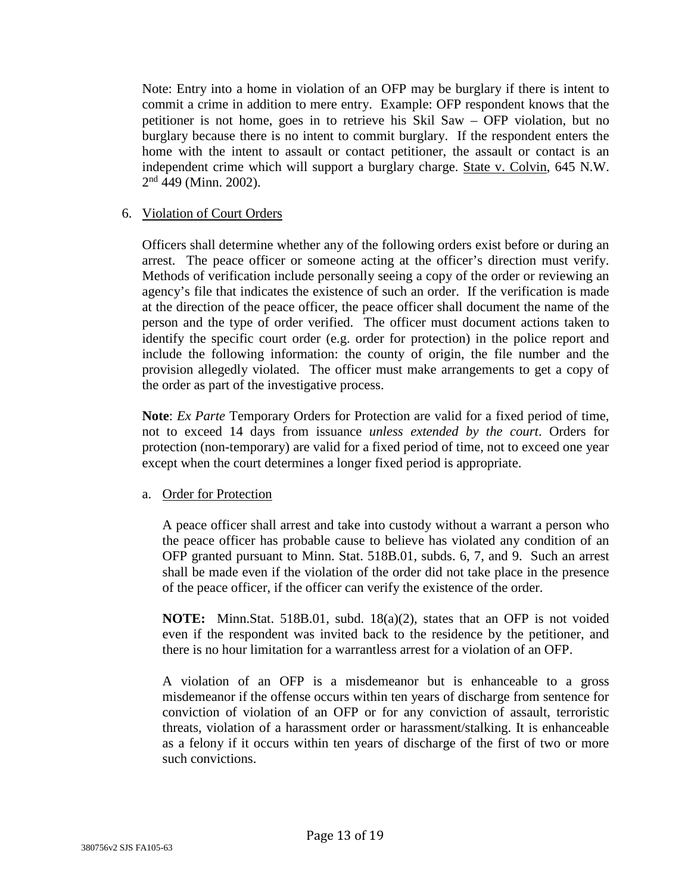Note: Entry into a home in violation of an OFP may be burglary if there is intent to commit a crime in addition to mere entry. Example: OFP respondent knows that the petitioner is not home, goes in to retrieve his Skil Saw – OFP violation, but no burglary because there is no intent to commit burglary. If the respondent enters the home with the intent to assault or contact petitioner, the assault or contact is an independent crime which will support a burglary charge. State v. Colvin, 645 N.W.  $2<sup>nd</sup>$  449 (Minn. 2002).

### 6. Violation of Court Orders

Officers shall determine whether any of the following orders exist before or during an arrest. The peace officer or someone acting at the officer's direction must verify. Methods of verification include personally seeing a copy of the order or reviewing an agency's file that indicates the existence of such an order. If the verification is made at the direction of the peace officer, the peace officer shall document the name of the person and the type of order verified. The officer must document actions taken to identify the specific court order (e.g. order for protection) in the police report and include the following information: the county of origin, the file number and the provision allegedly violated. The officer must make arrangements to get a copy of the order as part of the investigative process.

**Note**: *Ex Parte* Temporary Orders for Protection are valid for a fixed period of time, not to exceed 14 days from issuance *unless extended by the court*. Orders for protection (non-temporary) are valid for a fixed period of time, not to exceed one year except when the court determines a longer fixed period is appropriate.

### a. Order for Protection

A peace officer shall arrest and take into custody without a warrant a person who the peace officer has probable cause to believe has violated any condition of an OFP granted pursuant to Minn. Stat. 518B.01, subds. 6, 7, and 9. Such an arrest shall be made even if the violation of the order did not take place in the presence of the peace officer, if the officer can verify the existence of the order.

**NOTE:** Minn.Stat. 518B.01, subd. 18(a)(2), states that an OFP is not voided even if the respondent was invited back to the residence by the petitioner, and there is no hour limitation for a warrantless arrest for a violation of an OFP.

A violation of an OFP is a misdemeanor but is enhanceable to a gross misdemeanor if the offense occurs within ten years of discharge from sentence for conviction of violation of an OFP or for any conviction of assault, terroristic threats, violation of a harassment order or harassment/stalking. It is enhanceable as a felony if it occurs within ten years of discharge of the first of two or more such convictions.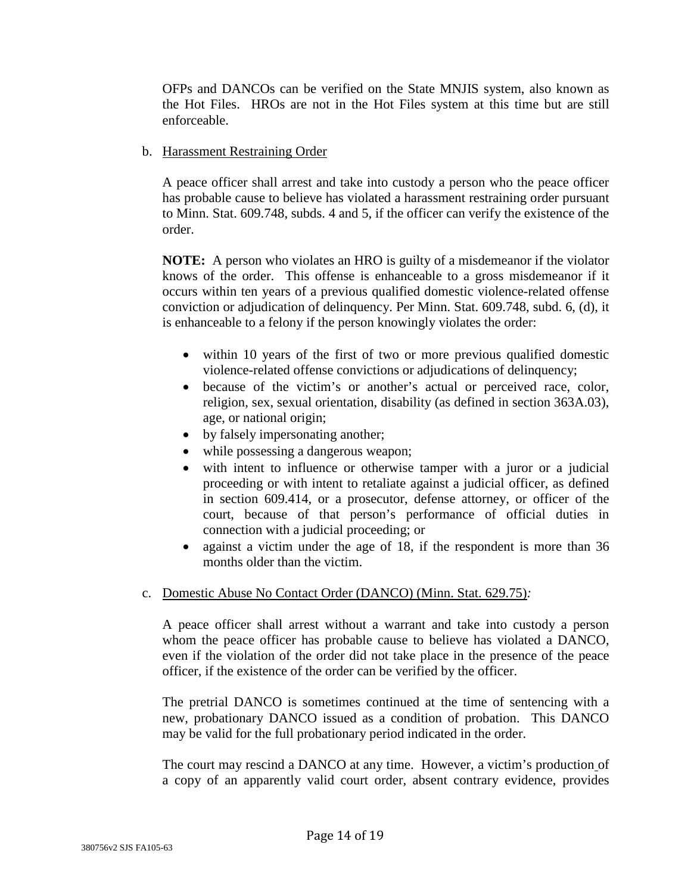OFPs and DANCOs can be verified on the State MNJIS system, also known as the Hot Files. HROs are not in the Hot Files system at this time but are still enforceable.

### b. Harassment Restraining Order

A peace officer shall arrest and take into custody a person who the peace officer has probable cause to believe has violated a harassment restraining order pursuant to Minn. Stat. 609.748, subds. 4 and 5, if the officer can verify the existence of the order.

**NOTE:** A person who violates an HRO is guilty of a misdemeanor if the violator knows of the order. This offense is enhanceable to a gross misdemeanor if it occurs within ten years of a previous qualified domestic violence-related offense conviction or adjudication of delinquency. Per Minn. Stat. 609.748, subd. 6, (d), it is enhanceable to a felony if the person knowingly violates the order:

- within 10 years of the first of two or more previous qualified domestic violence-related offense convictions or adjudications of delinquency;
- because of the victim's or another's actual or perceived race, color, religion, sex, sexual orientation, disability (as defined in section 363A.03), age, or national origin;
- by falsely impersonating another;
- while possessing a dangerous weapon;
- with intent to influence or otherwise tamper with a juror or a judicial proceeding or with intent to retaliate against a judicial officer, as defined in section 609.414, or a prosecutor, defense attorney, or officer of the court, because of that person's performance of official duties in connection with a judicial proceeding; or
- against a victim under the age of 18, if the respondent is more than 36 months older than the victim.

# c. Domestic Abuse No Contact Order (DANCO) (Minn. Stat. 629.75)*:*

A peace officer shall arrest without a warrant and take into custody a person whom the peace officer has probable cause to believe has violated a DANCO, even if the violation of the order did not take place in the presence of the peace officer, if the existence of the order can be verified by the officer.

The pretrial DANCO is sometimes continued at the time of sentencing with a new, probationary DANCO issued as a condition of probation. This DANCO may be valid for the full probationary period indicated in the order.

The court may rescind a DANCO at any time. However, a victim's production of a copy of an apparently valid court order, absent contrary evidence, provides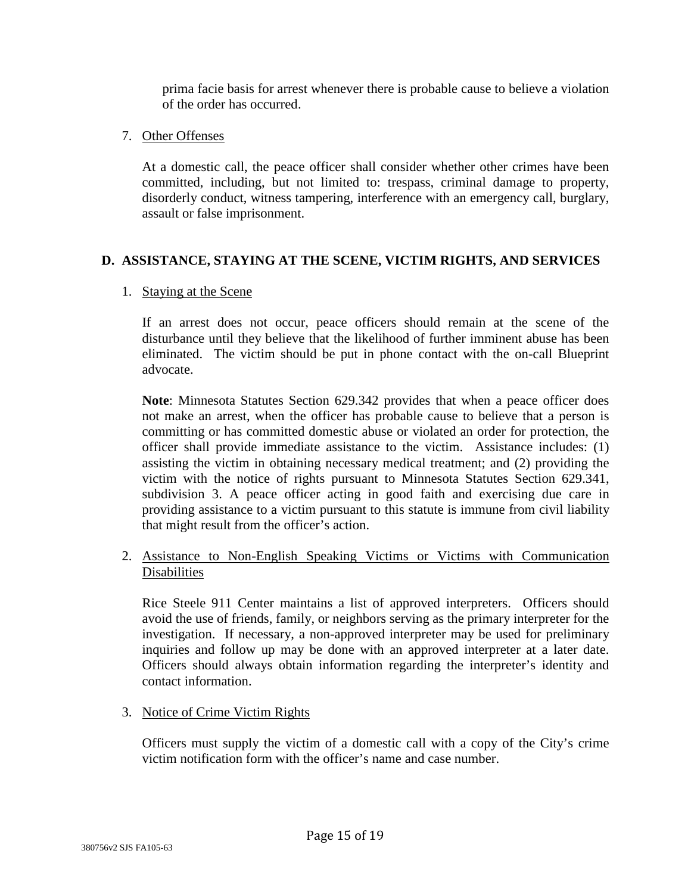prima facie basis for arrest whenever there is probable cause to believe a violation of the order has occurred.

### 7. Other Offenses

At a domestic call, the peace officer shall consider whether other crimes have been committed, including, but not limited to: trespass, criminal damage to property, disorderly conduct, witness tampering, interference with an emergency call, burglary, assault or false imprisonment.

# **D. ASSISTANCE, STAYING AT THE SCENE, VICTIM RIGHTS, AND SERVICES**

# 1. Staying at the Scene

If an arrest does not occur, peace officers should remain at the scene of the disturbance until they believe that the likelihood of further imminent abuse has been eliminated. The victim should be put in phone contact with the on-call Blueprint advocate.

**Note**: Minnesota Statutes Section 629.342 provides that when a peace officer does not make an arrest, when the officer has probable cause to believe that a person is committing or has committed domestic abuse or violated an order for protection, the officer shall provide immediate assistance to the victim. Assistance includes: (1) assisting the victim in obtaining necessary medical treatment; and (2) providing the victim with the notice of rights pursuant to Minnesota Statutes Section 629.341, subdivision 3. A peace officer acting in good faith and exercising due care in providing assistance to a victim pursuant to this statute is immune from civil liability that might result from the officer's action.

# 2. Assistance to Non-English Speaking Victims or Victims with Communication Disabilities

Rice Steele 911 Center maintains a list of approved interpreters. Officers should avoid the use of friends, family, or neighbors serving as the primary interpreter for the investigation. If necessary, a non-approved interpreter may be used for preliminary inquiries and follow up may be done with an approved interpreter at a later date. Officers should always obtain information regarding the interpreter's identity and contact information.

# 3. Notice of Crime Victim Rights

Officers must supply the victim of a domestic call with a copy of the City's crime victim notification form with the officer's name and case number.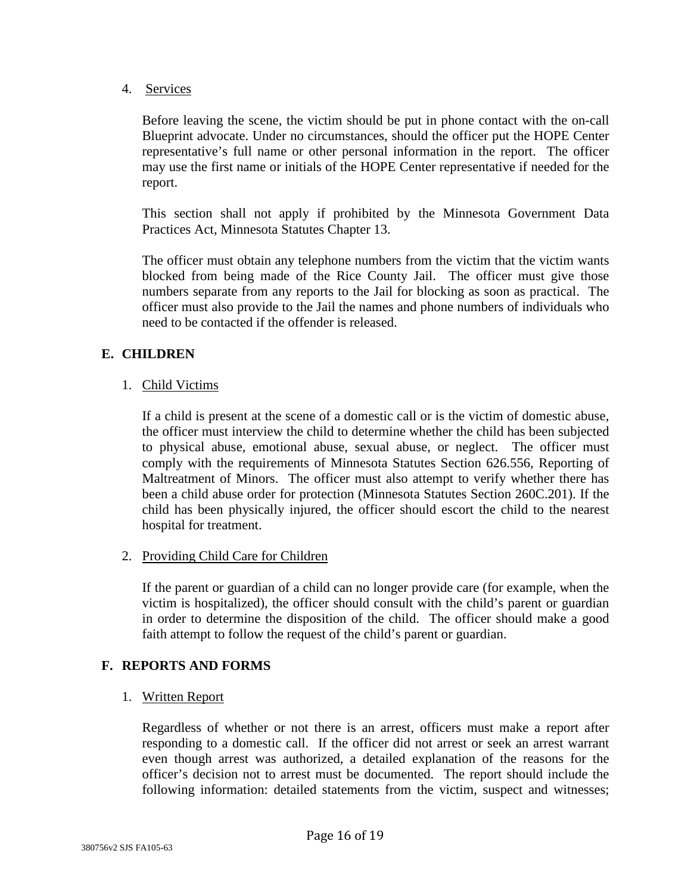4. Services

Before leaving the scene, the victim should be put in phone contact with the on-call Blueprint advocate. Under no circumstances, should the officer put the HOPE Center representative's full name or other personal information in the report. The officer may use the first name or initials of the HOPE Center representative if needed for the report.

This section shall not apply if prohibited by the Minnesota Government Data Practices Act, Minnesota Statutes Chapter 13.

The officer must obtain any telephone numbers from the victim that the victim wants blocked from being made of the Rice County Jail. The officer must give those numbers separate from any reports to the Jail for blocking as soon as practical. The officer must also provide to the Jail the names and phone numbers of individuals who need to be contacted if the offender is released.

# **E. CHILDREN**

1. Child Victims

If a child is present at the scene of a domestic call or is the victim of domestic abuse, the officer must interview the child to determine whether the child has been subjected to physical abuse, emotional abuse, sexual abuse, or neglect. The officer must comply with the requirements of Minnesota Statutes Section 626.556, Reporting of Maltreatment of Minors. The officer must also attempt to verify whether there has been a child abuse order for protection (Minnesota Statutes Section 260C.201). If the child has been physically injured, the officer should escort the child to the nearest hospital for treatment.

2. Providing Child Care for Children

If the parent or guardian of a child can no longer provide care (for example, when the victim is hospitalized), the officer should consult with the child's parent or guardian in order to determine the disposition of the child. The officer should make a good faith attempt to follow the request of the child's parent or guardian.

### **F. REPORTS AND FORMS**

1. Written Report

Regardless of whether or not there is an arrest, officers must make a report after responding to a domestic call. If the officer did not arrest or seek an arrest warrant even though arrest was authorized, a detailed explanation of the reasons for the officer's decision not to arrest must be documented. The report should include the following information: detailed statements from the victim, suspect and witnesses;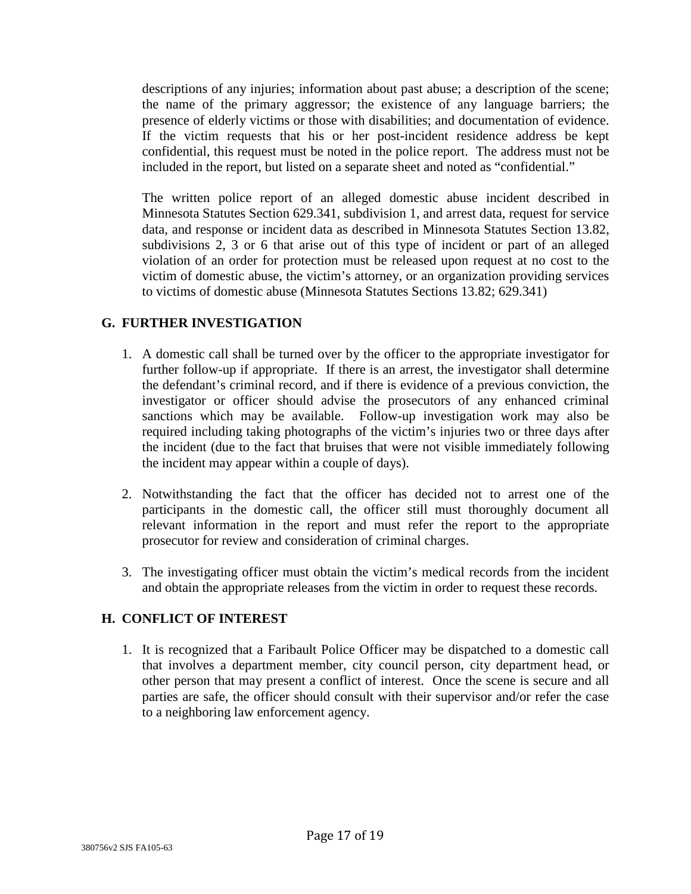descriptions of any injuries; information about past abuse; a description of the scene; the name of the primary aggressor; the existence of any language barriers; the presence of elderly victims or those with disabilities; and documentation of evidence. If the victim requests that his or her post-incident residence address be kept confidential, this request must be noted in the police report. The address must not be included in the report, but listed on a separate sheet and noted as "confidential."

The written police report of an alleged domestic abuse incident described in Minnesota Statutes Section 629.341, subdivision 1, and arrest data, request for service data, and response or incident data as described in Minnesota Statutes Section 13.82, subdivisions 2, 3 or 6 that arise out of this type of incident or part of an alleged violation of an order for protection must be released upon request at no cost to the victim of domestic abuse, the victim's attorney, or an organization providing services to victims of domestic abuse (Minnesota Statutes Sections 13.82; 629.341)

# **G. FURTHER INVESTIGATION**

- 1. A domestic call shall be turned over by the officer to the appropriate investigator for further follow-up if appropriate. If there is an arrest, the investigator shall determine the defendant's criminal record, and if there is evidence of a previous conviction, the investigator or officer should advise the prosecutors of any enhanced criminal sanctions which may be available. Follow-up investigation work may also be required including taking photographs of the victim's injuries two or three days after the incident (due to the fact that bruises that were not visible immediately following the incident may appear within a couple of days).
- 2. Notwithstanding the fact that the officer has decided not to arrest one of the participants in the domestic call, the officer still must thoroughly document all relevant information in the report and must refer the report to the appropriate prosecutor for review and consideration of criminal charges.
- 3. The investigating officer must obtain the victim's medical records from the incident and obtain the appropriate releases from the victim in order to request these records.

# **H. CONFLICT OF INTEREST**

1. It is recognized that a Faribault Police Officer may be dispatched to a domestic call that involves a department member, city council person, city department head, or other person that may present a conflict of interest. Once the scene is secure and all parties are safe, the officer should consult with their supervisor and/or refer the case to a neighboring law enforcement agency.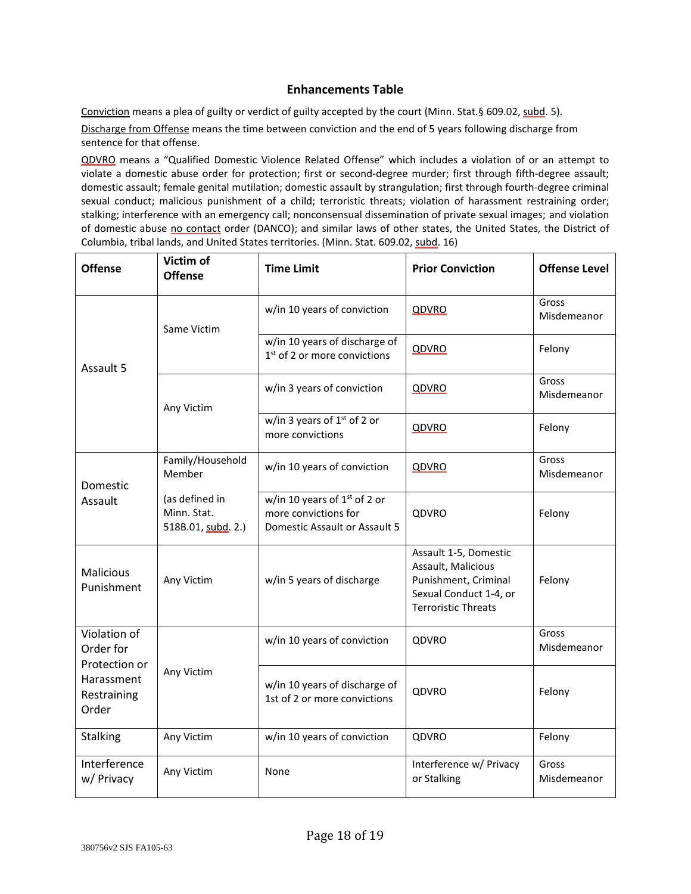#### **Enhancements Table**

Conviction means a plea of guilty or verdict of guilty accepted by the court (Minn. Stat.§ 609.02, subd. 5).

Discharge from Offense means the time between conviction and the end of 5 years following discharge from sentence for that offense.

QDVRO means a "Qualified Domestic Violence Related Offense" which includes a violation of or an attempt to violate a domestic abuse order for protection; first or second-degree murder; first through fifth-degree assault; domestic assault; female genital mutilation; domestic assault by strangulation; first through fourth-degree criminal sexual conduct; malicious punishment of a child; terroristic threats; violation of harassment restraining order; stalking; interference with an emergency call; nonconsensual dissemination of private sexual images; and violation of domestic abuse no contact order (DANCO); and similar laws of other states, the United States, the District of Columbia, tribal lands, and United States territories. (Minn. Stat. 609.02, subd. 16)

| <b>Offense</b>                                                                   | Victim of<br><b>Offense</b>                         | <b>Time Limit</b>                                                                                 | <b>Prior Conviction</b>                                                                                                     | <b>Offense Level</b> |
|----------------------------------------------------------------------------------|-----------------------------------------------------|---------------------------------------------------------------------------------------------------|-----------------------------------------------------------------------------------------------------------------------------|----------------------|
| Assault 5                                                                        | Same Victim                                         | w/in 10 years of conviction                                                                       | QDVRO                                                                                                                       | Gross<br>Misdemeanor |
|                                                                                  |                                                     | w/in 10 years of discharge of<br>1 <sup>st</sup> of 2 or more convictions                         | QDVRO                                                                                                                       | Felony               |
|                                                                                  | Any Victim                                          | w/in 3 years of conviction                                                                        | QDVRO                                                                                                                       | Gross<br>Misdemeanor |
|                                                                                  |                                                     | w/in 3 years of $1st$ of 2 or<br>more convictions                                                 | QDVRO                                                                                                                       | Felony               |
| Domestic<br>Assault                                                              | Family/Household<br>Member                          | w/in 10 years of conviction                                                                       | QDVRO                                                                                                                       | Gross<br>Misdemeanor |
|                                                                                  | (as defined in<br>Minn. Stat.<br>518B.01, subd. 2.) | w/in 10 years of 1 <sup>st</sup> of 2 or<br>more convictions for<br>Domestic Assault or Assault 5 | QDVRO                                                                                                                       | Felony               |
| <b>Malicious</b><br>Punishment                                                   | Any Victim                                          | w/in 5 years of discharge                                                                         | Assault 1-5, Domestic<br>Assault, Malicious<br>Punishment, Criminal<br>Sexual Conduct 1-4, or<br><b>Terroristic Threats</b> | Felony               |
| Violation of<br>Order for<br>Protection or<br>Harassment<br>Restraining<br>Order | Any Victim                                          | w/in 10 years of conviction                                                                       | <b>QDVRO</b>                                                                                                                | Gross<br>Misdemeanor |
|                                                                                  |                                                     | w/in 10 years of discharge of<br>1st of 2 or more convictions                                     | QDVRO                                                                                                                       | Felony               |
| <b>Stalking</b>                                                                  | Any Victim                                          | w/in 10 years of conviction                                                                       | QDVRO                                                                                                                       | Felony               |
| Interference<br>w/ Privacy                                                       | Any Victim                                          | None                                                                                              | Interference w/ Privacy<br>or Stalking                                                                                      | Gross<br>Misdemeanor |